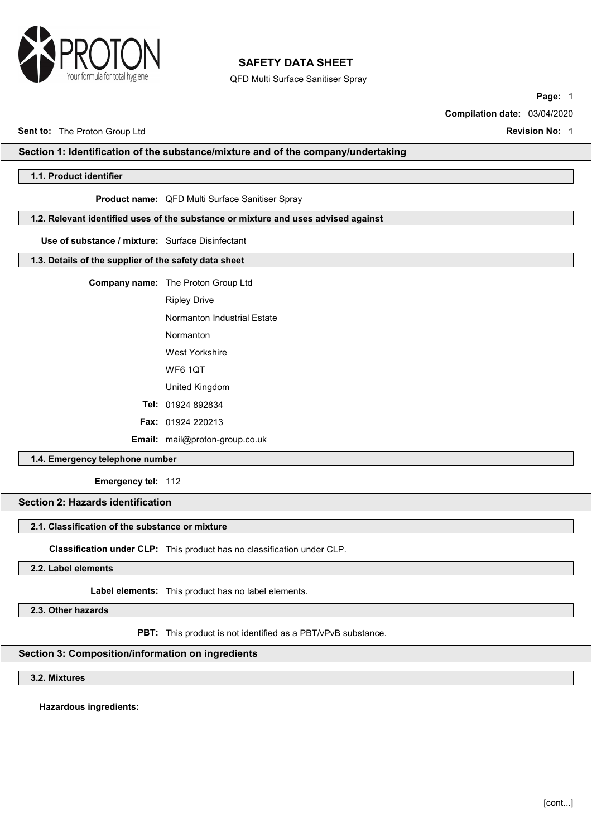

QFD Multi Surface Sanitiser Spray

Page: 1

Compilation date: 03/04/2020

Sent to: The Proton Group Ltd **Revision No: 1** Note that the Revision No: 1

# Section 1: Identification of the substance/mixture and of the company/undertaking

# 1.1. Product identifier

#### Product name: QFD Multi Surface Sanitiser Spray

### 1.2. Relevant identified uses of the substance or mixture and uses advised against

Use of substance / mixture: Surface Disinfectant

### 1.3. Details of the supplier of the safety data sheet

Company name: The Proton Group Ltd

Ripley Drive

Normanton Industrial Estate

Normanton

West Yorkshire

WF6 1QT

United Kingdom

Tel: 01924 892834

Fax: 01924 220213

Email: mail@proton-group.co.uk

# 1.4. Emergency telephone number

Emergency tel: 112

# Section 2: Hazards identification

# 2.1. Classification of the substance or mixture

Classification under CLP: This product has no classification under CLP.

2.2. Label elements

Label elements: This product has no label elements.

2.3. Other hazards

PBT: This product is not identified as a PBT/vPvB substance.

# Section 3: Composition/information on ingredients

3.2. Mixtures

Hazardous ingredients: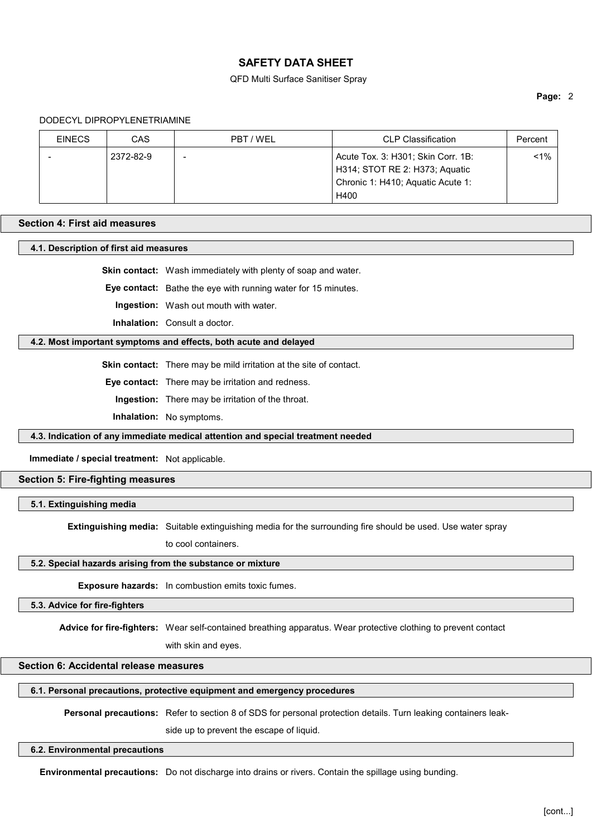#### QFD Multi Surface Sanitiser Spray

### Page: 2

#### DODECYL DIPROPYLENETRIAMINE

| <b>EINECS</b> | CAS       | PBT / WEL                | <b>CLP Classification</b>          | Percent |
|---------------|-----------|--------------------------|------------------------------------|---------|
|               | 2372-82-9 | $\overline{\phantom{0}}$ | Acute Tox. 3: H301; Skin Corr. 1B: | $1\%$   |
|               |           |                          | H314; STOT RE 2: H373; Aquatic     |         |
|               |           |                          | Chronic 1: H410; Aquatic Acute 1:  |         |
|               |           |                          | H400                               |         |

# Section 4: First aid measures

4.1. Description of first aid measures

Skin contact: Wash immediately with plenty of soap and water.

Eye contact: Bathe the eye with running water for 15 minutes.

Ingestion: Wash out mouth with water.

Inhalation: Consult a doctor.

# 4.2. Most important symptoms and effects, both acute and delayed

Skin contact: There may be mild irritation at the site of contact.

Eye contact: There may be irritation and redness.

Ingestion: There may be irritation of the throat.

Inhalation: No symptoms.

4.3. Indication of any immediate medical attention and special treatment needed

Immediate / special treatment: Not applicable.

#### Section 5: Fire-fighting measures

5.1. Extinguishing media

Extinguishing media: Suitable extinguishing media for the surrounding fire should be used. Use water spray

to cool containers.

#### 5.2. Special hazards arising from the substance or mixture

Exposure hazards: In combustion emits toxic fumes.

### 5.3. Advice for fire-fighters

Advice for fire-fighters: Wear self-contained breathing apparatus. Wear protective clothing to prevent contact

with skin and eyes.

# Section 6: Accidental release measures

# 6.1. Personal precautions, protective equipment and emergency procedures

Personal precautions: Refer to section 8 of SDS for personal protection details. Turn leaking containers leak-

side up to prevent the escape of liquid.

### 6.2. Environmental precautions

Environmental precautions: Do not discharge into drains or rivers. Contain the spillage using bunding.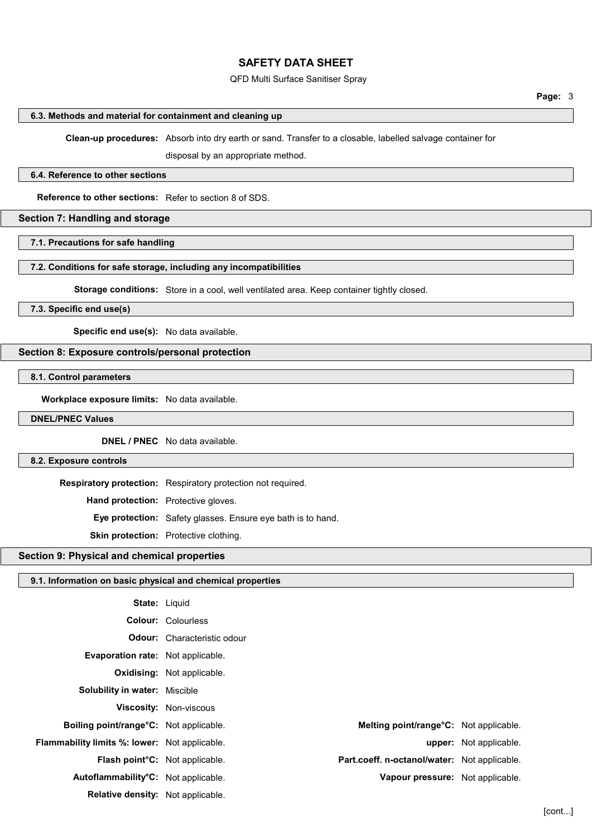#### QFD Multi Surface Sanitiser Spray

#### 6.3. Methods and material for containment and cleaning up

Clean-up procedures: Absorb into dry earth or sand. Transfer to a closable, labelled salvage container for

disposal by an appropriate method.

#### 6.4. Reference to other sections

Reference to other sections: Refer to section 8 of SDS.

### Section 7: Handling and storage

### 7.1. Precautions for safe handling

# 7.2. Conditions for safe storage, including any incompatibilities

Storage conditions: Store in a cool, well ventilated area. Keep container tightly closed.

### 7.3. Specific end use(s)

Specific end use(s): No data available.

# Section 8: Exposure controls/personal protection

# 8.1. Control parameters

Workplace exposure limits: No data available.

#### DNEL/PNEC Values

DNEL / PNEC No data available.

#### 8.2. Exposure controls

Respiratory protection: Respiratory protection not required.

Hand protection: Protective gloves.

Eye protection: Safety glasses. Ensure eye bath is to hand.

Skin protection: Protective clothing.

# Section 9: Physical and chemical properties

### 9.1. Information on basic physical and chemical properties

| <b>State: Liquid</b>                                 |                                    |                                                     |                               |
|------------------------------------------------------|------------------------------------|-----------------------------------------------------|-------------------------------|
|                                                      | <b>Colour: Colourless</b>          |                                                     |                               |
|                                                      | <b>Odour:</b> Characteristic odour |                                                     |                               |
| Evaporation rate: Not applicable.                    |                                    |                                                     |                               |
|                                                      | <b>Oxidising:</b> Not applicable.  |                                                     |                               |
| <b>Solubility in water: Miscible</b>                 |                                    |                                                     |                               |
|                                                      | Viscosity: Non-viscous             |                                                     |                               |
| <b>Boiling point/range °C:</b> Not applicable.       |                                    | Melting point/range <sup>o</sup> C: Not applicable. |                               |
| <b>Flammability limits %: lower:</b> Not applicable. |                                    |                                                     | <b>upper:</b> Not applicable. |
| <b>Flash point<sup>°</sup>C</b> : Not applicable.    |                                    | Part.coeff. n-octanol/water: Not applicable.        |                               |
| Autoflammability°C: Not applicable.                  |                                    | Vapour pressure: Not applicable.                    |                               |
| <b>Relative density:</b> Not applicable.             |                                    |                                                     |                               |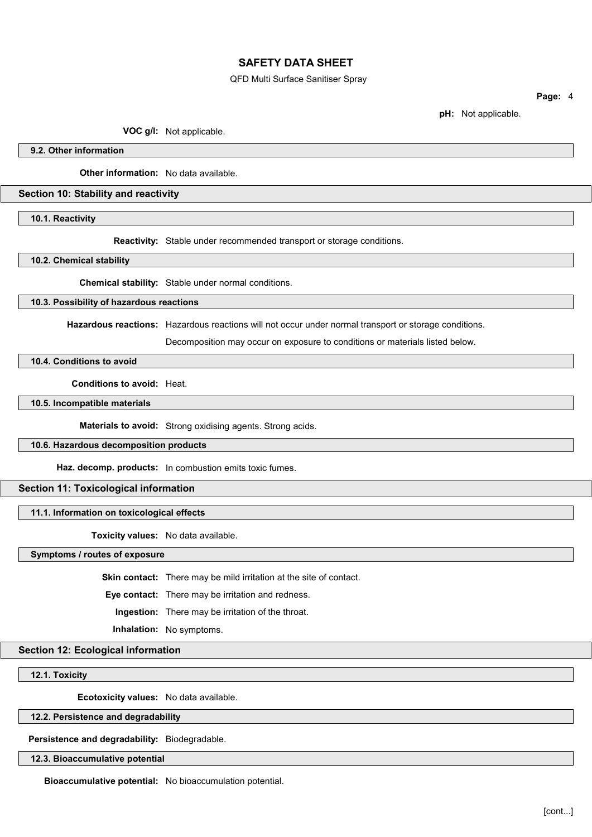QFD Multi Surface Sanitiser Spray

Page: 4

pH: Not applicable.

VOC g/l: Not applicable.

9.2. Other information

**Other information:** No data available.

### Section 10: Stability and reactivity

10.1. Reactivity

Reactivity: Stable under recommended transport or storage conditions.

10.2. Chemical stability

Chemical stability: Stable under normal conditions.

# 10.3. Possibility of hazardous reactions

Hazardous reactions: Hazardous reactions will not occur under normal transport or storage conditions.

Decomposition may occur on exposure to conditions or materials listed below.

### 10.4. Conditions to avoid

Conditions to avoid: Heat.

10.5. Incompatible materials

Materials to avoid: Strong oxidising agents. Strong acids.

### 10.6. Hazardous decomposition products

Haz. decomp. products: In combustion emits toxic fumes.

# Section 11: Toxicological information

### 11.1. Information on toxicological effects

Toxicity values: No data available.

Symptoms / routes of exposure

Skin contact: There may be mild irritation at the site of contact.

Eye contact: There may be irritation and redness.

Ingestion: There may be irritation of the throat.

Inhalation: No symptoms.

Section 12: Ecological information

12.1. Toxicity

Ecotoxicity values: No data available.

#### 12.2. Persistence and degradability

Persistence and degradability: Biodegradable.

12.3. Bioaccumulative potential

Bioaccumulative potential: No bioaccumulation potential.